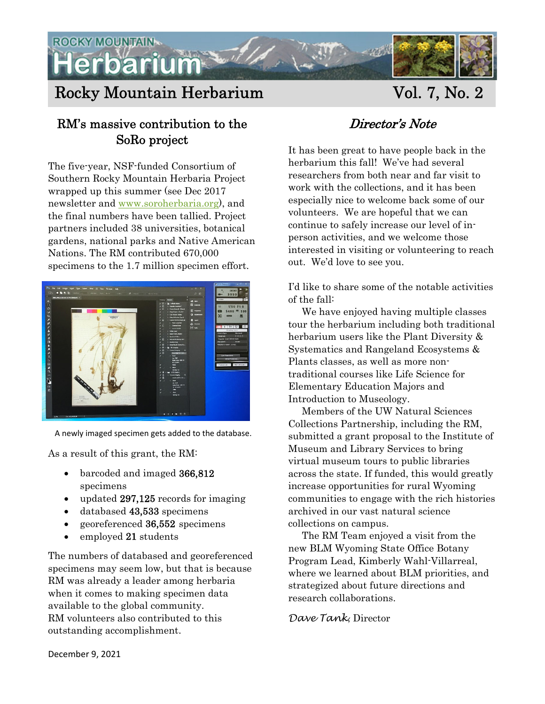

# Rocky Mountain Herbarium Vol. 7, No. 2

#### RM's massive contribution to the SoRo project

The five-year, NSF-funded Consortium of Southern Rocky Mountain Herbaria Project wrapped up this summer (see Dec 2017 newsletter and www.soroherbaria.org), and the final numbers have been tallied. Project partners included 38 universities, botanical gardens, national parks and Native American Nations. The RM contributed 670,000 specimens to the 1.7 million specimen effort.



A newly imaged specimen gets added to the database.

As a result of this grant, the RM:

- barcoded and imaged 366,812 specimens
- updated 297,125 records for imaging
- databased 43,533 specimens
- georeferenced 36,552 specimens
- employed 21 students

The numbers of databased and georeferenced specimens may seem low, but that is because RM was already a leader among herbaria when it comes to making specimen data available to the global community. RM volunteers also contributed to this outstanding accomplishment.

### Director's Note

It has been great to have people back in the herbarium this fall! We've had several researchers from both near and far visit to work with the collections, and it has been especially nice to welcome back some of our volunteers. We are hopeful that we can continue to safely increase our level of inperson activities, and we welcome those interested in visiting or volunteering to reach out. We'd love to see you.

I'd like to share some of the notable activities of the fall:

 We have enjoyed having multiple classes tour the herbarium including both traditional herbarium users like the Plant Diversity & Systematics and Rangeland Ecosystems & Plants classes, as well as more nontraditional courses like Life Science for Elementary Education Majors and Introduction to Museology.

 Members of the UW Natural Sciences Collections Partnership, including the RM, submitted a grant proposal to the Institute of Museum and Library Services to bring virtual museum tours to public libraries across the state. If funded, this would greatly increase opportunities for rural Wyoming communities to engage with the rich histories archived in our vast natural science collections on campus.

 The RM Team enjoyed a visit from the new BLM Wyoming State Office Botany Program Lead, Kimberly Wahl-Villarreal, where we learned about BLM priorities, and strategized about future directions and research collaborations.

#### *Dave Tank*, Director

December 9, 2021